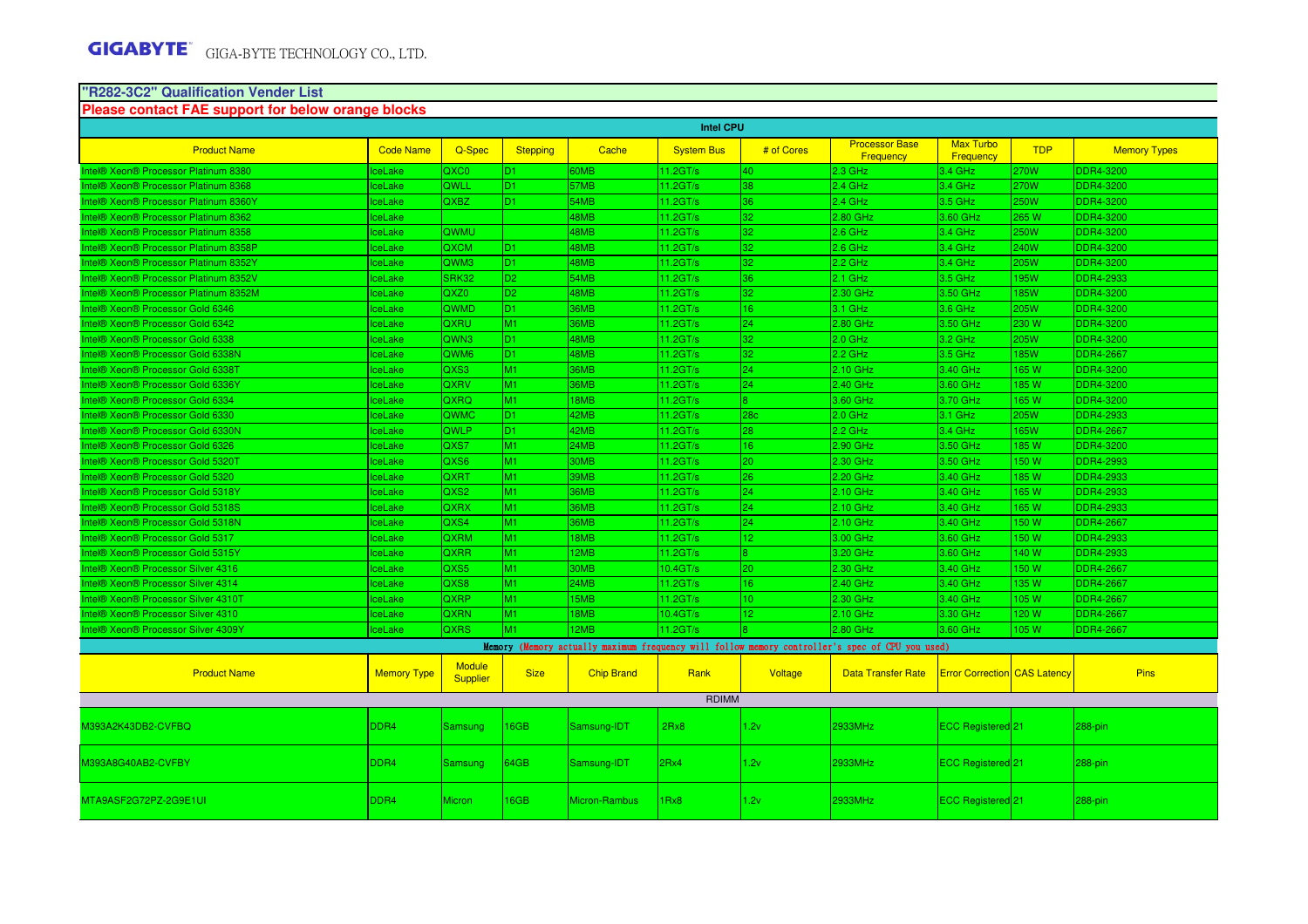# **"R282-3C2" Qualification Vender List Please contact FAE support for below orange blocks**

| <b>Intel CPU</b>                      |                    |                                  |                 |                      |                   |                 |                                                                                                 |                                     |             |                     |  |
|---------------------------------------|--------------------|----------------------------------|-----------------|----------------------|-------------------|-----------------|-------------------------------------------------------------------------------------------------|-------------------------------------|-------------|---------------------|--|
| <b>Product Name</b>                   | <b>Code Name</b>   | Q-Spec                           | <b>Stepping</b> | Cache                | <b>System Bus</b> | # of Cores      | <b>Processor Base</b><br>Frequency                                                              | <b>Max Turbo</b><br>Frequency       | <b>TDP</b>  | <b>Memory Types</b> |  |
| Intel® Xeon® Processor Platinum 8380  | <b>IceLake</b>     | QXC0                             | D <sub>1</sub>  | 60MB                 | 11.2GT/s          | 40              | $2.3$ GHz                                                                                       | 3.4 GHz                             | ?70W        | <b>DDR4-3200</b>    |  |
| Intel® Xeon® Processor Platinum 8368  | <b>IceLake</b>     | QWLL                             | D1.             | 57MB                 | 11.2GT/s          | 38              | $2.4$ GHz                                                                                       | 3.4 GHz                             | 270W        | <b>DDR4-3200</b>    |  |
| Intel® Xeon® Processor Platinum 8360Y | ceLake             | <b>QXBZ</b>                      | D <sub>1</sub>  | 54MB                 | 11.2GT/s          | 36.             | $2.4$ GHz                                                                                       | 3.5 GHz                             | <b>50W</b>  | <b>DDR4-3200</b>    |  |
| ntel® Xeon® Processor Platinum 8362   | <b>IceLake</b>     |                                  |                 | 48MB                 | 11.2GT/s          | 32              | 2.80 GHz                                                                                        | 3.60 GHz                            | 265 W       | DDR4-3200           |  |
| Intel® Xeon® Processor Platinum 8358  | IceLake            | QWMU                             |                 | 48MB                 | 11.2GT/s          | 32.             | $2.6$ GHz                                                                                       | $3.4$ GHz                           | <b>50W</b>  | <b>DDR4-3200</b>    |  |
| Intel® Xeon® Processor Platinum 8358P | <b>IceLake</b>     | <b>QXCM</b>                      | D <sub>1</sub>  | 48MB                 | 11.2GT/s          | 32              | $2.6$ GHz                                                                                       | 3.4 GHz                             | 240W        | <b>DDR4-3200</b>    |  |
| Intel® Xeon® Processor Platinum 8352Y | ceLake             | QWM3                             | D <sub>1</sub>  | 48MB                 | 11.2GT/s          | 32.             | $2.2$ GHz                                                                                       | 3.4 GHz                             | <b>205W</b> | <b>DDR4-3200</b>    |  |
| Intel® Xeon® Processor Platinum 8352V | <b>IceLake</b>     | SRK32                            | D <sub>2</sub>  | 54MB                 | 11.2GT/s          | 36              | $2.1$ GHz                                                                                       | 3.5 GHz                             | 95W         | <b>DDR4-2933</b>    |  |
| Intel® Xeon® Processor Platinum 8352M | <b>IceLake</b>     | QXZ0                             | D <sub>2</sub>  | 48MB                 | 11.2GT/s          | 32.             | 2.30 GHz                                                                                        | 3.50 GHz                            | <b>85W</b>  | <b>DDR4-3200</b>    |  |
| Intel® Xeon® Processor Gold 6346      | <b>IceLake</b>     | <b>QWMD</b>                      | D1.             | 36MB                 | 11.2GT/s          | 16              | $3.1$ GHz                                                                                       | $3.6$ GHz                           | 205W        | <b>DDR4-3200</b>    |  |
| Intel® Xeon® Processor Gold 6342      | <b>IceLake</b>     | QXRU                             | M1              | 36MB                 | 11.2GT/s          | 24              | 2.80 GHz                                                                                        | 3.50 GHz                            | 230 W       | <b>DDR4-3200</b>    |  |
| Intel® Xeon® Processor Gold 6338      | ceLake             | QWN <sub>3</sub>                 | D <sub>1</sub>  | 48MB                 | 11.2GT/s          | 32              | $2.0$ GHz                                                                                       | 3.2 GHz                             | 205W        | <b>DDR4-3200</b>    |  |
| Intel® Xeon® Processor Gold 6338N     | <b>IceLake</b>     | QWM <sub>6</sub>                 | D <sub>1</sub>  | 48MB                 | 11.2GT/s          | 32.             | $2.2$ GHz                                                                                       | 3.5 GHz                             | <b>85W</b>  | <b>DDR4-2667</b>    |  |
| Intel® Xeon® Processor Gold 6338T     | <b>IceLake</b>     | QXS3                             | M1              | 36MB                 | 11.2GT/s          | 24              | 2.10 GHz                                                                                        | 3.40 GHz                            | <b>165W</b> | DDR4-3200           |  |
| Intel® Xeon® Processor Gold 6336Y     | <b>IceLake</b>     | QXRV                             | M <sub>1</sub>  | 36MB                 | 11.2GT/s          | 24              | 2.40 GHz                                                                                        | 3.60 GHz                            | 185W        | <b>DDR4-3200</b>    |  |
| Intel® Xeon® Processor Gold 6334      | <b>IceLake</b>     | QXRQ                             | M1              | 18MB                 | 11.2GT/s          |                 | 3.60 GHz                                                                                        | 3.70 GHz                            | 165W        | <b>DDR4-3200</b>    |  |
| Intel® Xeon® Processor Gold 6330      | ceLake             | QWMC                             | D <sub>1</sub>  | 42MB                 | 11.2GT/s          | 28 <sub>c</sub> | $2.0$ GHz                                                                                       | 3.1 GHz                             | 205W        | DDR4-2933           |  |
| Intel® Xeon® Processor Gold 6330N     | IceLake            | QWLP                             | D <sub>1</sub>  | 42MB                 | 11.2GT/s          | 28              | $2.2$ GHz                                                                                       | 3.4 GHz                             | <b>165W</b> | <b>DDR4-2667</b>    |  |
| Intel® Xeon® Processor Gold 6326      | <b>IceLake</b>     | QXS7                             | M1              | 24MB                 | 11.2GT/s          | 16              | 2.90 GHz                                                                                        | 3.50 GHz                            | 85 W        | <b>DDR4-3200</b>    |  |
| Intel® Xeon® Processor Gold 5320T     | ceLake             | QXS6                             | M1              | 30MB                 | 11.2GT/s          | $20^{\circ}$    | 2.30 GHz                                                                                        | 3.50 GHz                            | 150W        | <b>DDR4-2993</b>    |  |
| Intel® Xeon® Processor Gold 5320      | ceLake             | QXRT                             | M1              | 39MB                 | 11.2GT/s          | 26.             | 2.20 GHz                                                                                        | 3.40 GHz                            | 85 W        | DDR4-2933           |  |
| Intel® Xeon® Processor Gold 5318Y     | ceLake             | QXS2                             | M1              | 36MB                 | 11.2GT/s          | 24.             | 2.10 GHz                                                                                        | 3.40 GHz                            | 165W        | DDR4-2933           |  |
| Intel® Xeon® Processor Gold 5318S     | <b>IceLake</b>     | QXRX                             | M1              | 36MB                 | 11.2GT/s          | 24              | $2.10$ GHz                                                                                      | 3.40 GHz                            | 165 W       | <b>DDR4-2933</b>    |  |
| Intel® Xeon® Processor Gold 5318N     | <b>IceLake</b>     | QXS4                             | M1              | 36MB                 | 11.2GT/s          | 24              | 2.10 GHz                                                                                        | 3.40 GHz                            | 150W        | <b>DDR4-2667</b>    |  |
| Intel® Xeon® Processor Gold 5317      | ceLake             | <b>QXRM</b>                      | M1              | 18MB                 | 11.2GT/s          | $\overline{2}$  | 3.00 GHz                                                                                        | 3.60 GHz                            | 50 W        | <b>DDR4-2933</b>    |  |
| Intel® Xeon® Processor Gold 5315Y     | <b>IceLake</b>     | QXRR                             | M1              | 12MB                 | 11.2GT/s          |                 | 3.20 GHz                                                                                        | 3.60 GHz                            | 40 W        | <b>DDR4-2933</b>    |  |
| Intel® Xeon® Processor Silver 4316    | <b>IceLake</b>     | QXS5                             | M1              | 30MB                 | 10.4GT/s          | 20.             | 2.30 GHz                                                                                        | 3.40 GHz                            | 50 W        | <b>DDR4-2667</b>    |  |
| Intel® Xeon® Processor Silver 4314    | <b>IceLake</b>     | QXS8                             | M1              | 24MB                 | 11.2GT/s          | 16              | 2.40 GHz                                                                                        | 3.40 GHz                            | 135 W       | <b>DDR4-2667</b>    |  |
| Intel® Xeon® Processor Silver 4310T   | ceLake             | <b>QXRP</b>                      | M1              | 15MB                 | 11.2GT/s          | 10              | 2.30 GHz                                                                                        | 3.40 GHz                            | 05 W        | <b>DDR4-2667</b>    |  |
| ntel® Xeon® Processor Silver 4310     | ceLake             | <b>QXRN</b>                      | M1              | 18MB                 | 10.4GT/s          | 12.             | 2.10 GHz                                                                                        | 3.30 GHz                            | 120 W       | <b>DDR4-2667</b>    |  |
| Intel® Xeon® Processor Silver 4309Y   | <b>IceLake</b>     | <b>QXRS</b>                      | M1              | 12MB                 | 11.2GT/s          |                 | 2.80 GHz                                                                                        | 3.60 GHz                            | 105 W       | <b>DDR4-2667</b>    |  |
|                                       |                    |                                  |                 |                      |                   |                 | Memory (Memory actually maximum frequency will follow memory controller's spec of CPU you used) |                                     |             |                     |  |
| <b>Product Name</b>                   | <b>Memory Type</b> | <b>Module</b><br><b>Supplier</b> | <b>Size</b>     | <b>Chip Brand</b>    | Rank              | Voltage         | <b>Data Transfer Rate</b>                                                                       | <b>Error Correction CAS Latency</b> |             | <b>Pins</b>         |  |
|                                       |                    |                                  |                 |                      | <b>RDIMM</b>      |                 |                                                                                                 |                                     |             |                     |  |
|                                       |                    |                                  |                 |                      |                   |                 |                                                                                                 |                                     |             |                     |  |
| M393A2K43DB2-CVFBQ                    | DDR <sub>4</sub>   | <b>Samsung</b>                   | 16GB            | Samsung-IDT          | 2Rx8              | 1.2v            | 2933MHz                                                                                         | ECC Registered 21                   |             | 288-pin             |  |
| M393A8G40AB2-CVFBY                    | DDR <sub>4</sub>   | Samsung                          | 64GB            | Samsung-IDT          | 2Rx4              | 1.2v            | 2933MHz                                                                                         | ECC Registered 21                   |             | 288-pin             |  |
| MTA9ASF2G72PZ-2G9E1UI                 | DDR <sub>4</sub>   | <b>Micron</b>                    | 16GB            | <b>Micron-Rambus</b> | 1Rx8              | 1.2v            | 2933MHz                                                                                         | ECC Registered <sup>[21]</sup>      |             | 288-pin             |  |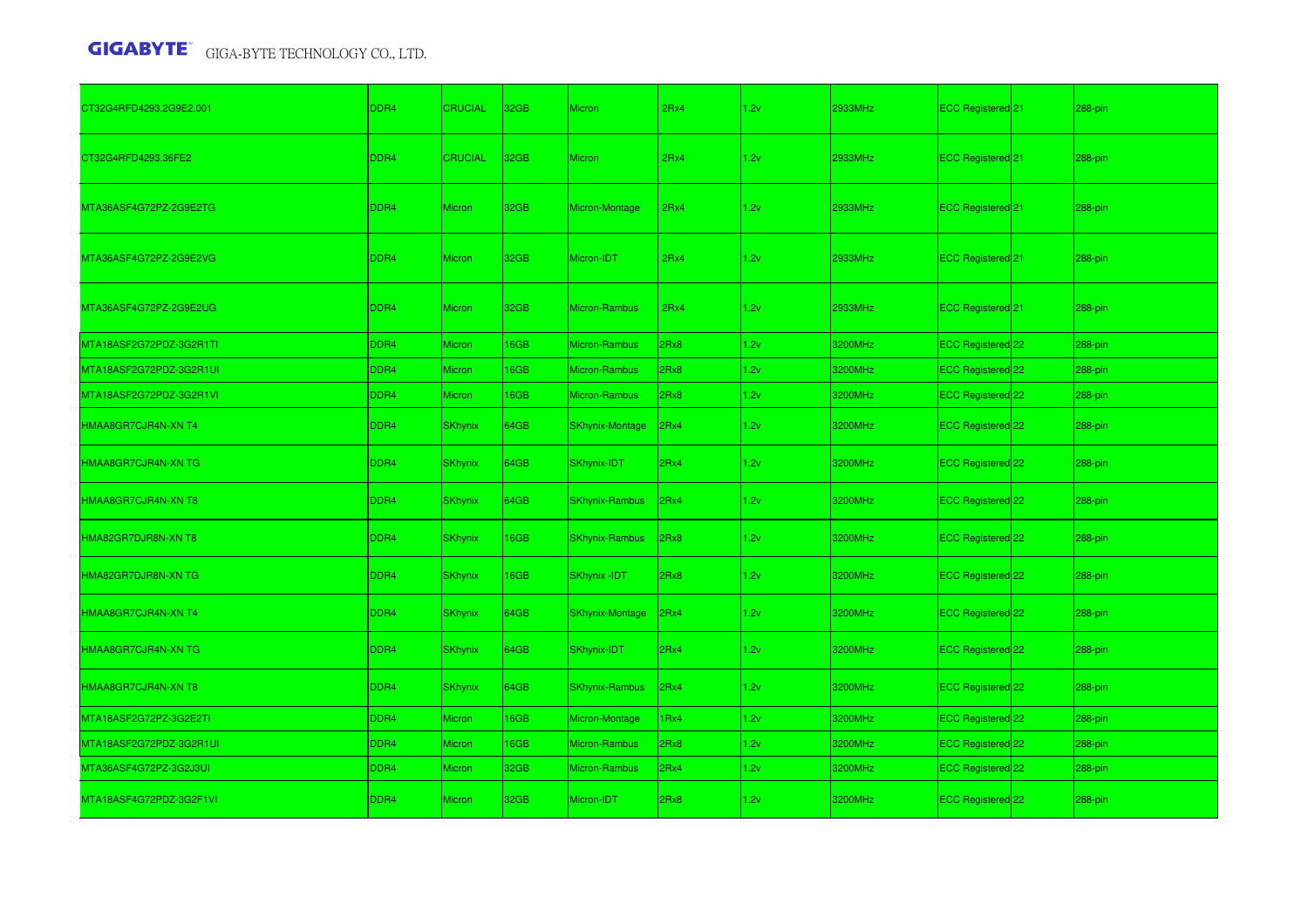| CT32G4RFD4293.2G9E2.001 | DDR4             | <b>CRUCIAL</b> | 32GB             | Micron                 | 2Rx4 | 1.2v | 2933MHz | ECC Registered 21            | 288-pin |
|-------------------------|------------------|----------------|------------------|------------------------|------|------|---------|------------------------------|---------|
| CT32G4RFD4293.36FE2     | DDR4             | <b>CRUCIAL</b> | 32 <sub>GB</sub> | <b>Micron</b>          | 2Rx4 | 1.2v | 2933MHz | <b>ECC Registered</b> 21     | 288-pin |
| MTA36ASF4G72PZ-2G9E2TG  | DDR4             | <b>Micron</b>  | 32GB             | Micron-Montage         | 2Rx4 | 1.2v | 2933MHz | ECC Registered <sup>21</sup> | 288-pin |
| MTA36ASF4G72PZ-2G9E2VG  | DDR4             | <b>Micron</b>  | 32GB             | Micron-IDT             | 2Rx4 | 1.2v | 2933MHz | ECC Registered 21            | 288-pin |
| MTA36ASF4G72PZ-2G9E2UG  | DDR <sub>4</sub> | <b>Micron</b>  | 32 <sub>GB</sub> | Micron-Rambus          | 2Rx4 | 1.2v | 2933MHz | <b>ECC Registered</b> 21     | 288-pin |
| MTA18ASF2G72PDZ-3G2R1TI | DDR4             | Micron         | 16GB             | Micron-Rambus          | 2Rx8 | 1.2v | 3200MHz | ECC Registered 22            | 288-pin |
| MTA18ASF2G72PDZ-3G2R1UI | DDR4             | Micron         | 16GB             | Micron-Rambus          | 2Rx8 | 1.2v | 3200MHz | ECC Registered 22            | 288-pin |
| MTA18ASF2G72PDZ-3G2R1VI | DDR4             | Micron         | 16GB             | Micron-Rambus          | 2Rx8 | 1.2v | 3200MHz | ECC Registered 22            | 288-pin |
| HMAA8GR7CJR4N-XN T4     | DDR <sub>4</sub> | <b>SKhynix</b> | 64GB             | <b>SKhynix-Montage</b> | 2Rx4 | 1.2v | 3200MHz | ECC Registered 22            | 288-pin |
| HMAA8GR7CJR4N-XN TG     | DDR4             | <b>SKhynix</b> | 64GB             | SKhynix-IDT            | 2Rx4 | 1.2v | 3200MHz | ECC Registered 22            | 288-pin |
| HMAA8GR7CJR4N-XN T8     | DDR <sub>4</sub> | <b>SKhynix</b> | 64GB             | <b>SKhynix-Rambus</b>  | 2Rx4 | 1.2v | 3200MHz | ECC Registered 22            | 288-pin |
| HMA82GR7DJR8N-XN T8     | DDR <sub>4</sub> | <b>SKhynix</b> | <b>16GB</b>      | <b>SKhynix-Rambus</b>  | 2Rx8 | 1.2v | 3200MHz | <b>ECC Registered</b> 22     | 288-pin |
| HMA82GR7DJR8N-XN TG     | DDR <sub>4</sub> | <b>SKhynix</b> | 16GB             | <b>SKhynix-IDT</b>     | 2Rx8 | 1.2v | 3200MHz | ECC Registered 22            | 288-pin |
| HMAA8GR7CJR4N-XN T4     | DDR <sub>4</sub> | <b>SKhynix</b> | 64GB             | <b>SKhynix-Montage</b> | 2Rx4 | 1.2v | 3200MHz | ECC Registered 22            | 288-pin |
| HMAA8GR7CJR4N-XN TG     | DDR <sub>4</sub> | <b>SKhynix</b> | 64GB             | SKhynix-IDT            | 2Rx4 | 1.2v | 3200MHz | ECC Registered 22            | 288-pin |
| HMAA8GR7CJR4N-XN T8     | DDR4             | <b>SKhynix</b> | 64GB             | <b>SKhynix-Rambus</b>  | 2Rx4 | 1.2v | 3200MHz | <b>ECC Registered</b> 22     | 288-pin |
| MTA18ASF2G72PZ-3G2E2TI  | DDR4             | Micron         | 16GB             | Micron-Montage         | 1Rx4 | 1.2v | 3200MHz | ECC Registered 22            | 288-pin |
| MTA18ASF2G72PDZ-3G2R1UI | DDR4             | Micron         | 16GB             | Micron-Rambus          | 2Rx8 | 1.2v | 3200MHz | ECC Registered 22            | 288-pin |
| MTA36ASF4G72PZ-3G2J3UI  | DDR4             | Micron         | 32GB             | Micron-Rambus          | 2Rx4 | 1.2v | 3200MHz | ECC Registered 22            | 288-pin |
| MTA18ASF4G72PDZ-3G2F1VI | DDR <sub>4</sub> | <b>Micron</b>  | 32GB             | Micron-IDT             | 2Rx8 | 1.2v | 3200MHz | ECC Registered 22            | 288-pin |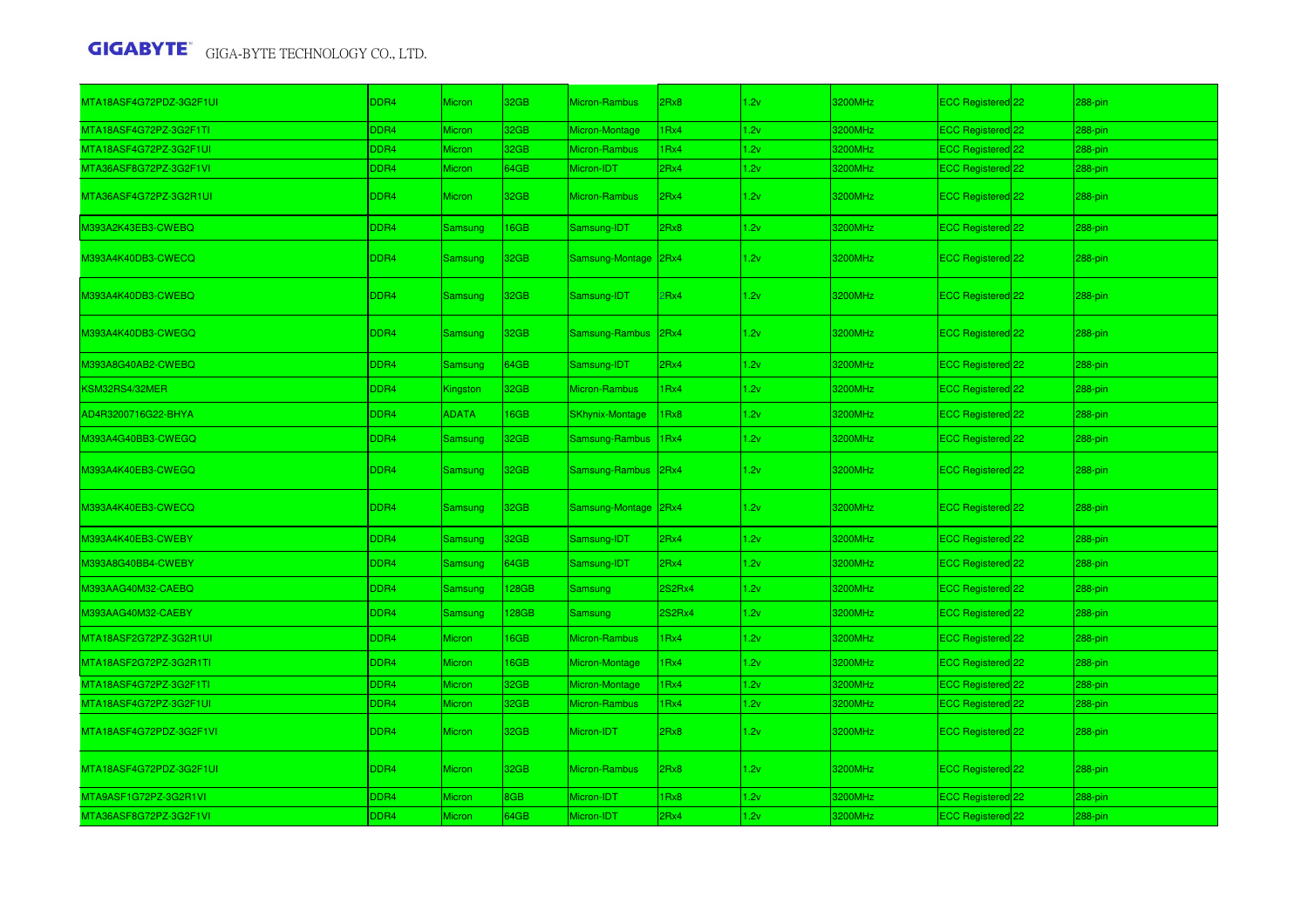| MTA18ASF4G72PDZ-3G2F1UI | DDR4             | <b>Micron</b>  | 32GB        | Micron-Rambus          | 2Rx8   | 1.2v | 3200MHz | ECC Registered 22              | 288-pin |
|-------------------------|------------------|----------------|-------------|------------------------|--------|------|---------|--------------------------------|---------|
| MTA18ASF4G72PZ-3G2F1TI  | DDR4             | Micron         | 32GB        | Micron-Montage         | IRx4   | 1.2v | 3200MHz | ECC Registered <sup>122</sup>  | 288-pin |
| MTA18ASF4G72PZ-3G2F1UI  | DDR <sub>4</sub> | Micron         | 32GB        | Micron-Rambus          | 1Rx4   | 1.2v | 3200MHz | ECC Registered 22              | 288-pin |
| MTA36ASF8G72PZ-3G2F1VI  | DDR4             | Micron         | 64GB        | Micron-IDT             | 2Rx4   | 1.2v | 3200MHz | ECC Registered 22              | 288-pin |
| MTA36ASF4G72PZ-3G2R1UI  | DDR <sub>4</sub> | <b>Micron</b>  | 32GB        | <b>Micron-Rambus</b>   | 2Rx4   | 1.2v | 3200MHz | ECC Registered 22              | 288-pin |
| M393A2K43EB3-CWEBQ      | DDR4             | Samsung        | <b>I6GB</b> | Samsung-IDT            | 2Rx8   | 1.2v | 3200MHz | ECC Registered 22              | 288-pin |
| M393A4K40DB3-CWECQ      | DDR4             | <b>Samsung</b> | 32GB        | Samsung-Montage        | 2Rx4   | 1.2v | 3200MHz | ECC Registered 22              | 288-pin |
| M393A4K40DB3-CWEBQ      | DDR4             | Samsung        | 32GB        | Samsung-IDT            | Rx4    | 1.2v | 3200MHz | ECC Registered 22              | 288-pin |
| M393A4K40DB3-CWEGQ      | DDR4             | Samsung        | 32GB        | Samsung-Rambus         | 2Rx4   | 1.2v | 3200MHz | ECC Registered 22              | 288-pin |
| M393A8G40AB2-CWEBQ      | DDR4             | Samsung        | 64GB        | Samsung-IDT            | 2Rx4   | 1.2v | 3200MHz | ECC Registered 22              | 288-pin |
| KSM32RS4/32MER          | DDR4             | Kingston       | 32GB        | <b>Micron-Rambus</b>   | IRx4   | 1.2v | 3200MHz | ECC Registered 22              | 288-pin |
| AD4R3200716G22-BHYA     | DDR4             | <b>ADATA</b>   | <b>I6GB</b> | <b>SKhynix-Montage</b> | Rx8    | 1.2v | 3200MHz | ECC Registered 22              | 288-pin |
| M393A4G40BB3-CWEGQ      | DDR4             | Samsung        | 32GB        | Samsung-Rambus         | IRx4   | 1.2v | 3200MHz | ECC Registered 22              | 288-pin |
| M393A4K40EB3-CWEGQ      | DDR4             | <b>Samsung</b> | 32GB        | Samsung-Rambus         | 2Rx4   | 1.2v | 3200MHz | ECC Registered <sup>22</sup>   | 288-pin |
| M393A4K40EB3-CWECQ      | DDR4             | Samsung        | 32GB        | Samsung-Montage        | 2Rx4   | 1.2v | 3200MHz | ECC Registered <sup>[22]</sup> | 288-pin |
| M393A4K40EB3-CWEBY      | DDR4             | Samsung        | 32GB        | Samsung-IDT            | 2Rx4   | 1.2v | 3200MHz | ECC Registered 22              | 288-pin |
| M393A8G40BB4-CWEBY      | DDR4             | <b>Samsung</b> | 64GB        | Samsung-IDT            | 2Rx4   | 1.2v | 3200MHz | ECC Registered 22              | 288-pin |
| M393AAG40M32-CAEBQ      | DDR4             | Samsung        | 128GB       | Samsung                | 2S2Rx4 | 1.2v | 3200MHz | ECC Registered 22              | 288-pin |
| M393AAG40M32-CAEBY      | DDR4             | Samsung        | <b>28GB</b> | <b>Samsung</b>         | 2S2Rx4 | 1.2v | 3200MHz | ECC Registered 22              | 288-pin |
| MTA18ASF2G72PZ-3G2R1UI  | DDR4             | <b>Micron</b>  | <b>I6GB</b> | Micron-Rambus          | Rx4    | 1.2v | 3200MHz | ECC Registered 22              | 288-pin |
| MTA18ASF2G72PZ-3G2R1TI  | DDR4             | <b>Micron</b>  | 16GB        | Micron-Montage         | Rx4    | 1.2v | 3200MHz | ECC Registered 22              | 288-pin |
| MTA18ASF4G72PZ-3G2F1TI  | DDR4             | Micron         | 32GB        | Micron-Montage         | Rx4    | 1.2v | 3200MHz | ECC Registered 22              | 288-pin |
| MTA18ASF4G72PZ-3G2F1UI  | DDR4             | <b>Micron</b>  | 32GB        | Micron-Rambus          | IRx4   | 1.2v | 3200MHz | ECC Registered 22              | 288-pin |
| MTA18ASF4G72PDZ-3G2F1VI | DDR4             | <b>Micron</b>  | 32GB        | Micron-IDT             | 2Rx8   | 1.2v | 3200MHz | ECC Registered <sup>22</sup>   | 288-pin |
| MTA18ASF4G72PDZ-3G2F1UI | DDR4             | <b>Micron</b>  | 32GB        | Micron-Rambus          | 2Rx8   | 1.2v | 3200MHz | ECC Registered <sup>22</sup>   | 288-pin |
| MTA9ASF1G72PZ-3G2R1VI   | DDR4             | Micron         | 8GB         | Micron-IDT             | 1Rx8   | 1.2v | 3200MHz | ECC Registered 22              | 288-pin |
| MTA36ASF8G72PZ-3G2F1VI  | DDR <sub>4</sub> | Micron         | 64GB        | Micron-IDT             | 2Rx4   | 1.2v | 3200MHz | ECC Registered 22              | 288-pin |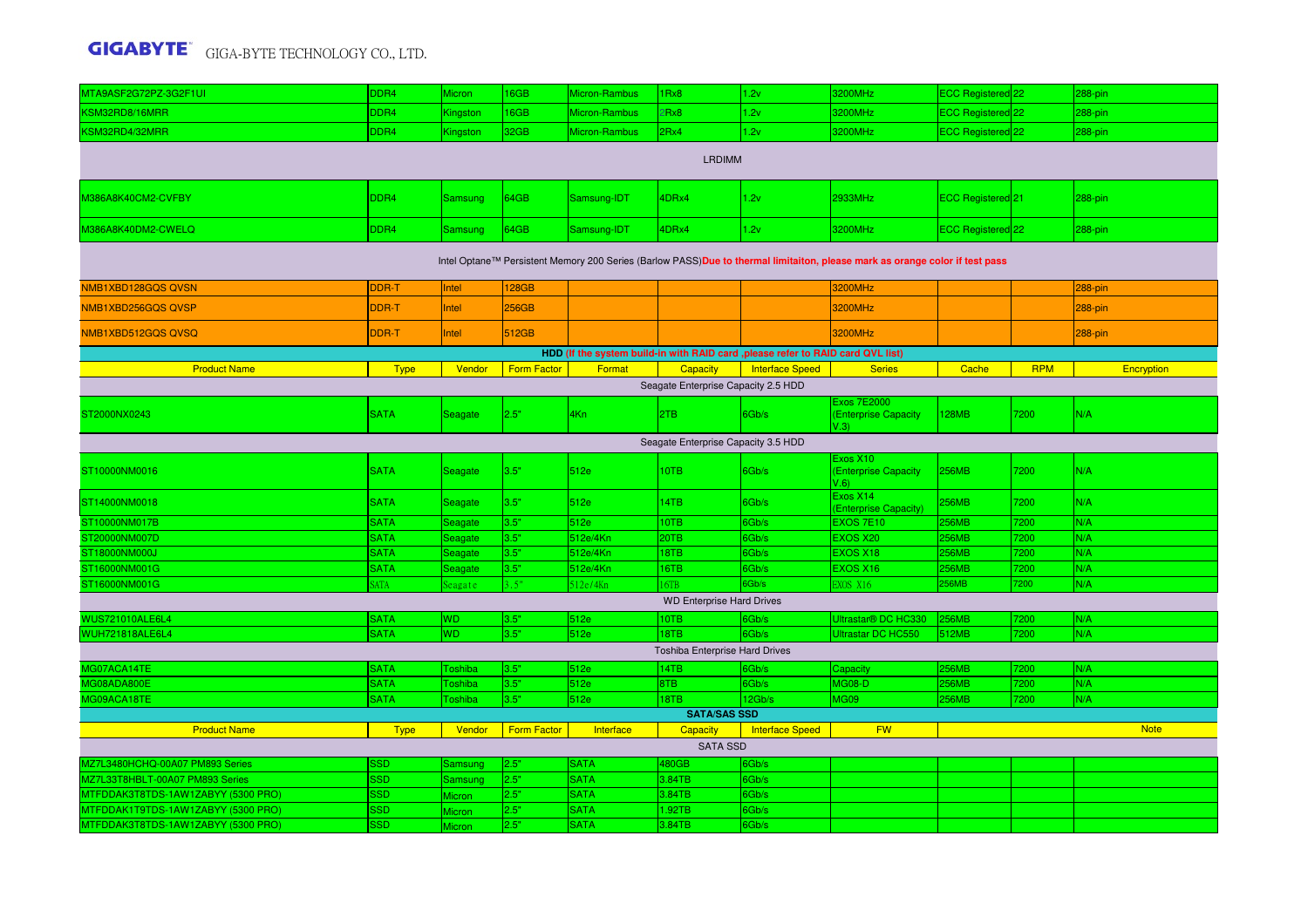| MTA9ASF2G72PZ-3G2F1UI                                                                                                       | DDR4        | Micron         | 6GB                | Micron-Rambus | IRx8                                   | 1.2v                   | 3200MHz                                            | ECC Registered 22 |            | 288-pin     |  |  |  |
|-----------------------------------------------------------------------------------------------------------------------------|-------------|----------------|--------------------|---------------|----------------------------------------|------------------------|----------------------------------------------------|-------------------|------------|-------------|--|--|--|
| KSM32RD8/16MRR                                                                                                              | DDR4        | Kingston       | 6GB                | Micron-Rambus | 2Rx8                                   | 1.2v                   | 3200MHz                                            | ECC Registered 22 |            | 288-pin     |  |  |  |
| KSM32RD4/32MRR                                                                                                              | DDR4        | Kingston       | 32GB               | Micron-Rambus | 2Rx4                                   | 1.2v                   | 3200MHz                                            | ECC Registered 22 |            | 288-pin     |  |  |  |
| <b>LRDIMM</b>                                                                                                               |             |                |                    |               |                                        |                        |                                                    |                   |            |             |  |  |  |
| M386A8K40CM2-CVFBY                                                                                                          | DDR4        | <b>Samsung</b> | 64GB               | Samsung-IDT   | 4DRx4                                  | 1.2v                   | 2933MHz                                            | ECC Registered 21 |            | 288-pin     |  |  |  |
| M386A8K40DM2-CWELQ                                                                                                          | DDR4        | <b>Samsung</b> | 64GB               | Samsung-IDT   | 4DRx4                                  | 1.2v                   | 3200MHz                                            | ECC Registered 22 |            | 288-pin     |  |  |  |
| Intel Optane™ Persistent Memory 200 Series (Barlow PASS)Due to thermal limitaiton, please mark as orange color if test pass |             |                |                    |               |                                        |                        |                                                    |                   |            |             |  |  |  |
| NMB1XBD128GQS QVSN                                                                                                          | DDR-T       | Intel          | <b>128GB</b>       |               |                                        |                        | 3200MHz                                            |                   |            | 288-pin     |  |  |  |
| NMB1XBD256GQS QVSP                                                                                                          | DDR-T       | Intel          | 256GB              |               |                                        |                        | <b>3200MHz</b>                                     |                   |            | 288-pin     |  |  |  |
| NMB1XBD512GQS QVSQ                                                                                                          | DDR-T       | Intel          | 512GB              |               |                                        |                        | 3200MHz                                            |                   |            | 288-pin     |  |  |  |
| HDD (If the system build-in with RAID card , please refer to RAID card QVL list)                                            |             |                |                    |               |                                        |                        |                                                    |                   |            |             |  |  |  |
| <b>Product Name</b>                                                                                                         | <b>Type</b> | Vendor         | <b>Form Factor</b> | Format        | Capacity                               | <b>Interface Speed</b> | <b>Series</b>                                      | Cache             | <b>RPM</b> | Encryption  |  |  |  |
| Seagate Enterprise Capacity 2.5 HDD                                                                                         |             |                |                    |               |                                        |                        |                                                    |                   |            |             |  |  |  |
| ST2000NX0243                                                                                                                | <b>SATA</b> | Seagate        | 2.5"               | 4Kn           | 2TB                                    | 6Gb/s                  | <b>Exos 7E2000</b><br>(Enterprise Capacity<br>V.3) | <b>128MB</b>      | 7200       | N/A         |  |  |  |
| Seagate Enterprise Capacity 3.5 HDD                                                                                         |             |                |                    |               |                                        |                        |                                                    |                   |            |             |  |  |  |
| ST10000NM0016                                                                                                               | <b>SATA</b> | Seagate        | 3.5"               | 512e          | 10TB                                   | 6Gb/s                  | Exos X10<br>(Enterprise Capacity<br>V.6            | <b>256MB</b>      | 7200       | N/A         |  |  |  |
| ST14000NM0018                                                                                                               | <b>SATA</b> | Seagate        | 3.5"               | 512e          | 14TB                                   | 6Gb/s                  | Exos X14<br>(Enterprise Capacity)                  | 256MB             | 200        | N/A         |  |  |  |
| ST10000NM017B                                                                                                               | <b>SATA</b> | Seagate        | 3.5"               | 512e          | 10TB                                   | 6Gb/s                  | <b>EXOS 7E10</b>                                   | <b>256MB</b>      | 200        | N/A         |  |  |  |
| ST20000NM007D                                                                                                               | <b>SATA</b> | Seagate        | 3.5"               | 512e/4Kn      | 20TB                                   | 6Gb/s                  | <b>EXOS X20</b>                                    | <b>256MB</b>      | 200        | N/A         |  |  |  |
| ST18000NM000J                                                                                                               | <b>SATA</b> | Seagate        | 3.5"               | 512e/4Kn      | 18TB                                   | 6Gb/s                  | <b>EXOS X18</b>                                    | 256MB             | 200        | N/A         |  |  |  |
| ST16000NM001G                                                                                                               | <b>SATA</b> | Seagate        | 3.5"               | 512e/4Kn      | 16TB                                   | 6Gb/s                  | <b>EXOS X16</b>                                    | <b>256MB</b>      | 7200       | N/A         |  |  |  |
| ST16000NM001G                                                                                                               | <b>ATA</b>  | eagate         | .5"                | 12e/4Kn       | 6TB                                    | 6Gb/s                  | <b>EXOS X16</b>                                    | <b>256MB</b>      | 200        | N/A         |  |  |  |
|                                                                                                                             |             |                |                    |               | <b>WD Enterprise Hard Drives</b>       |                        |                                                    |                   |            |             |  |  |  |
| <b>WUS721010ALE6L4</b>                                                                                                      | <b>SATA</b> | WD             | 3.5"               | 512e          | 10TB                                   | 6Gb/s                  | Ultrastar® DC HC330                                | <b>256MB</b>      | 200        | N/A         |  |  |  |
| <b>WUH721818ALE6L4</b>                                                                                                      | <b>SATA</b> | WD             | 3.5"               | 512e          | 18TB<br>Toshiba Enterprise Hard Drives | 6Gb/s                  | Ultrastar DC HC550                                 | 512MB             | 7200       | N/A         |  |  |  |
| MG07ACA14TE                                                                                                                 | <b>SATA</b> | <b>Toshiba</b> | 3.5"               | 512e          | 14TB                                   | 6Gb/s                  | Capacity                                           | <b>256MB</b>      | 200        | N/A         |  |  |  |
| MG08ADA800E                                                                                                                 | <b>SATA</b> | <b>Toshiba</b> | 3.5"               | 512e          | 8TB                                    | 6Gb/s                  | <b>MG08-D</b>                                      | <b>256MB</b>      | 200        | N/A         |  |  |  |
| MG09ACA18TE                                                                                                                 | <b>SATA</b> | <b>Toshiba</b> | 3.5"               | 512e          | 18TB                                   | 12Gb/s                 | MG09                                               | <b>256MB</b>      | 200        | N/A         |  |  |  |
|                                                                                                                             |             |                |                    |               | <b>SATA/SAS SSD</b>                    |                        |                                                    |                   |            |             |  |  |  |
| <b>Product Name</b>                                                                                                         | <b>Type</b> | Vendor         | <b>Form Factor</b> | Interface     | <b>Capacity</b>                        | <b>Interface Speed</b> | <b>FW</b>                                          |                   |            | <b>Note</b> |  |  |  |
|                                                                                                                             |             |                |                    |               | <b>SATA SSD</b>                        |                        |                                                    |                   |            |             |  |  |  |
| MZ7L3480HCHQ-00A07 PM893 Series                                                                                             | 3SD         | Samsung        | 2.5"               | <b>SATA</b>   | 480GB                                  | 6Gb/s                  |                                                    |                   |            |             |  |  |  |
| MZ7L33T8HBLT-00A07 PM893 Series                                                                                             | SSD         | Samsung        | 2.5"               | <b>SATA</b>   | 3.84TB                                 | 6Gb/s                  |                                                    |                   |            |             |  |  |  |
| MTFDDAK3T8TDS-1AW1ZABYY (5300 PRO)                                                                                          | SSD.        | Aicron         | 2.5"               | <b>SATA</b>   | 3.84TB                                 | 6Gb/s                  |                                                    |                   |            |             |  |  |  |
| MTFDDAK1T9TDS-1AW1ZABYY (5300 PRO)                                                                                          | SSD         | <b>Aicron</b>  | 2.5"               | <b>SATA</b>   | 1.92TB                                 | 6Gb/s                  |                                                    |                   |            |             |  |  |  |
| MTFDDAK3T8TDS-1AW1ZABYY (5300 PRO)                                                                                          | <b>SSD</b>  | <b>Aicron</b>  | 2.5"               | <b>SATA</b>   | 3.84TB                                 | 6Gb/s                  |                                                    |                   |            |             |  |  |  |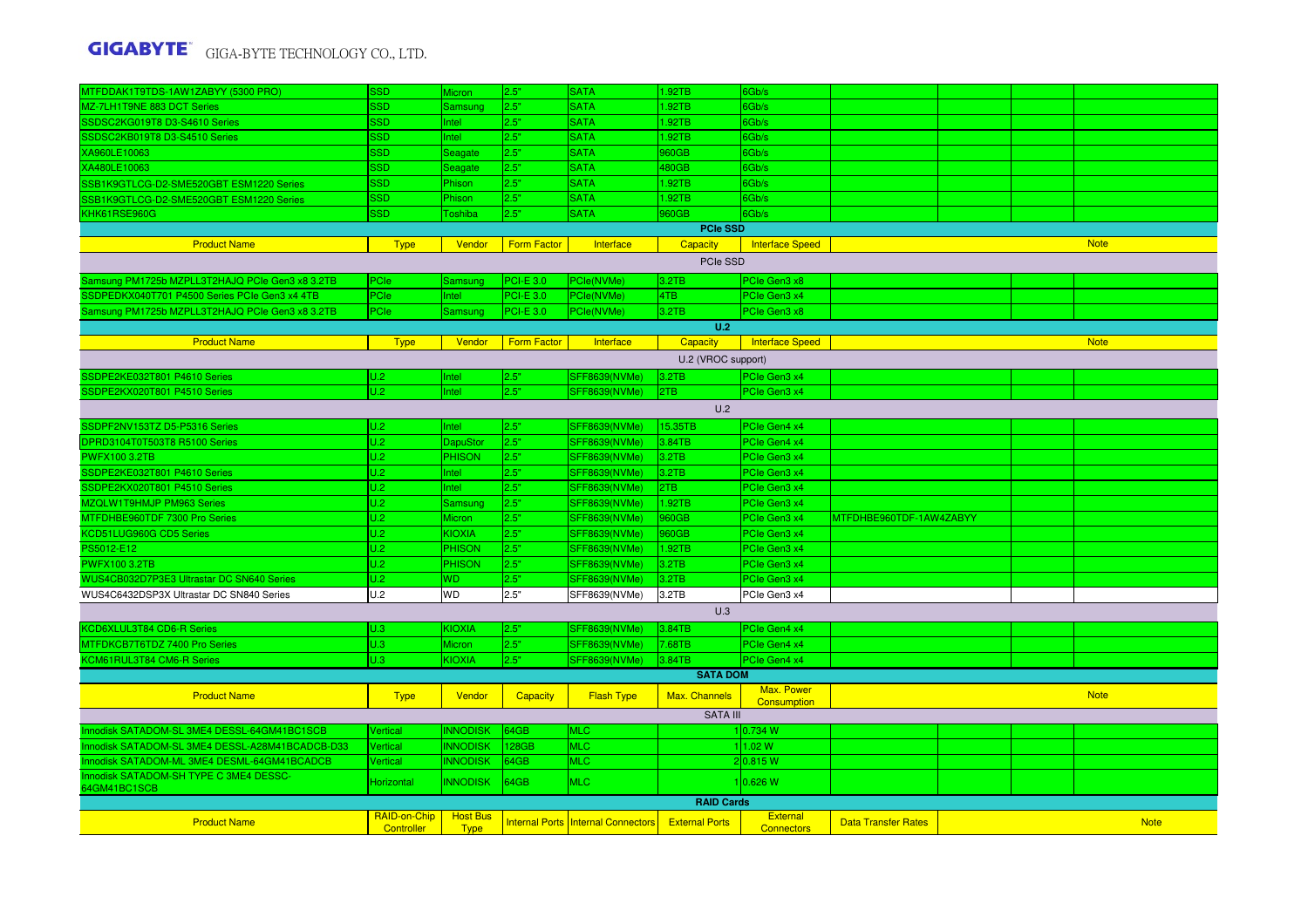| MTFDDAK1T9TDS-1AW1ZABYY (5300 PRO)              | <b>SSD</b>            | Micron          | 2.5"               | <b>SATA</b>                               | 1.92TB                | 6Gb/s                            |                            |  |  |             |  |  |  |
|-------------------------------------------------|-----------------------|-----------------|--------------------|-------------------------------------------|-----------------------|----------------------------------|----------------------------|--|--|-------------|--|--|--|
| MZ-7LH1T9NE 883 DCT Series                      | <b>SSD</b>            | Samsung         | 2.5"               | <b>SATA</b>                               | 1.92TB                | 6Gb/s                            |                            |  |  |             |  |  |  |
| SSDSC2KG019T8 D3-S4610 Series                   | SSD                   | Intel           | 2.5"               | <b>SATA</b>                               | 1.92TB                | 6Gb/s                            |                            |  |  |             |  |  |  |
| SSDSC2KB019T8 D3-S4510 Series                   | <b>SSD</b>            | Intel           | 2.5"               | <b>SATA</b>                               | 1.92TB                | 6Gb/s                            |                            |  |  |             |  |  |  |
| XA960LE10063                                    | SSD                   | Seagate         | 2.5"               | <b>SATA</b>                               | 960GB                 | 6Gb/s                            |                            |  |  |             |  |  |  |
| XA480LE10063                                    | <b>SSD</b>            | Seagate         | 2.5"               | <b>SATA</b>                               | 480GB                 | 6Gb/s                            |                            |  |  |             |  |  |  |
| SSB1K9GTLCG-D2-SME520GBT ESM1220 Series         | <b>SSD</b>            | Phison          | 2.5"               | <b>SATA</b>                               | 1.92TB                | 6Gb/s                            |                            |  |  |             |  |  |  |
| SSB1K9GTLCG-D2-SME520GBT ESM1220 Series         | <b>SSD</b>            | Phison          | 2.5"               | <b>SATA</b>                               | 1.92TB                | 6Gb/s                            |                            |  |  |             |  |  |  |
| KHK61RSE960G                                    | SSD.                  | Toshiba         | 2.5"               | <b>SATA</b>                               | 960GB                 | 6Gb/s                            |                            |  |  |             |  |  |  |
|                                                 |                       |                 |                    |                                           | <b>PCIe SSD</b>       |                                  |                            |  |  |             |  |  |  |
| <b>Product Name</b>                             | <b>Type</b>           | Vendor          | Form Factor        | Interface                                 | Capacity              | <b>Interface Speed</b>           |                            |  |  | <b>Note</b> |  |  |  |
|                                                 |                       |                 |                    |                                           | PCIe SSD              |                                  |                            |  |  |             |  |  |  |
|                                                 |                       |                 |                    |                                           |                       |                                  |                            |  |  |             |  |  |  |
| Samsung PM1725b MZPLL3T2HAJQ PCIe Gen3 x8 3.2TB | PCIe                  | Samsung         | $PCI-E$ 3.0        | PCle(NVMe)                                | 3.2TB                 | PCIe Gen3 x8                     |                            |  |  |             |  |  |  |
| SSDPEDKX040T701 P4500 Series PCIe Gen3 x4 4TB   | PCIe                  | Intel           | <b>PCI-E 3.0</b>   | PCle(NVMe)                                | 4TB                   | PCIe Gen3 x4                     |                            |  |  |             |  |  |  |
| Samsung PM1725b MZPLL3T2HAJQ PCIe Gen3 x8 3.2TB | PCIe                  | Samsung         | $PCI-E$ 3.0        | PCle(NVMe)                                | 3.2TB                 | PCIe Gen3 x8                     |                            |  |  |             |  |  |  |
|                                                 |                       |                 |                    |                                           | U.2                   |                                  |                            |  |  |             |  |  |  |
| <b>Product Name</b>                             | <b>Type</b>           | Vendor          | <b>Form Factor</b> | Interface                                 | Capacity              | <b>Interface Speed</b>           |                            |  |  | <b>Note</b> |  |  |  |
| U.2 (VROC support)                              |                       |                 |                    |                                           |                       |                                  |                            |  |  |             |  |  |  |
| SSDPE2KE032T801 P4610 Series                    | U.2                   | Intel           | 2.5"               | SFF8639(NVMe)                             | 3.2TB                 | PCIe Gen3 x4                     |                            |  |  |             |  |  |  |
| SSDPE2KX020T801 P4510 Series                    | U.2                   | Intel           | 2.5"               | <b>SFF8639(NVMe)</b>                      | 2TB                   | PCIe Gen3 x4                     |                            |  |  |             |  |  |  |
| U.2                                             |                       |                 |                    |                                           |                       |                                  |                            |  |  |             |  |  |  |
| SSDPF2NV153TZ D5-P5316 Series                   | U.2                   | Intel           | 2.5"               | SFF8639(NVMe)                             | 15.35TB               | PCIe Gen4 x4                     |                            |  |  |             |  |  |  |
| DPRD3104T0T503T8 R5100 Series                   | U.2                   | <b>DapuStor</b> | 2.5"               | <b>SFF8639(NVMe)</b>                      | 3.84TB                | PCIe Gen4 x4                     |                            |  |  |             |  |  |  |
| <b>PWFX100 3.2TB</b>                            | U.2                   | <b>PHISON</b>   | 2.5"               | <b>SFF8639(NVMe)</b>                      | 3.2TB                 | PCIe Gen3 x4                     |                            |  |  |             |  |  |  |
| SSDPE2KE032T801 P4610 Series                    | U.2                   | Intel           | 2.5"               | <b>SFF8639(NVMe)</b>                      | 3.2TB                 | PCIe Gen3 x4                     |                            |  |  |             |  |  |  |
| SSDPE2KX020T801 P4510 Series                    | U.2                   | Intel           | 2.5"               | <b>SFF8639(NVMe)</b>                      | 2TB                   | PCIe Gen3 x4                     |                            |  |  |             |  |  |  |
| MZQLW1T9HMJP PM963 Series                       | U.2                   | Samsung         | 2.5"               | <b>SFF8639(NVMe)</b>                      | 1.92TB                | PCIe Gen3 x4                     |                            |  |  |             |  |  |  |
| MTFDHBE960TDF 7300 Pro Series                   | U.2                   | Micron          | 2.5"               | SFF8639(NVMe)                             | 960GB                 | PCIe Gen3 x4                     | MTFDHBE960TDF-1AW4ZABYY    |  |  |             |  |  |  |
| KCD51LUG960G CD5 Series                         | U.2                   | <b>KIOXIA</b>   | 2.5"               | SFF8639(NVMe)                             | 960GB                 | PCIe Gen3 x4                     |                            |  |  |             |  |  |  |
| PS5012-E12                                      | U.2                   | <b>PHISON</b>   | 2.5"               | SFF8639(NVMe)                             | 1.92TB                | PCIe Gen3 x4                     |                            |  |  |             |  |  |  |
| <b>PWFX100 3.2TB</b>                            | U.2                   | <b>PHISON</b>   | 2.5"               | SFF8639(NVMe)                             | 3.2TB                 | PCIe Gen3 x4                     |                            |  |  |             |  |  |  |
| WUS4CB032D7P3E3 Ultrastar DC SN640 Series       | U.2                   | WD.             | 2.5"               | SFF8639(NVMe)                             | 3.2TB                 | PCIe Gen3 x4                     |                            |  |  |             |  |  |  |
| WUS4C6432DSP3X Ultrastar DC SN840 Series        | U.2                   | <b>WD</b>       | 2.5"               | SFF8639(NVMe)                             | 3.2TB                 | PCIe Gen3 x4                     |                            |  |  |             |  |  |  |
|                                                 |                       |                 |                    |                                           | U.3                   |                                  |                            |  |  |             |  |  |  |
|                                                 |                       |                 |                    |                                           |                       |                                  |                            |  |  |             |  |  |  |
| KCD6XLUL3T84 CD6-R Series                       | U.3                   | <b>KIOXIA</b>   | 2.5"               | <b>SFF8639(NVMe)</b>                      | 3.84TB                | PCIe Gen4 x4                     |                            |  |  |             |  |  |  |
| MTFDKCB7T6TDZ 7400 Pro Series                   | U.3                   | <b>Micron</b>   | 2.5"               | <b>SFF8639(NVMe)</b>                      | 7.68TB                | PCIe Gen4 x4                     |                            |  |  |             |  |  |  |
| KCM61RUL3T84 CM6-R Series                       | U.3                   | <b>KIOXIA</b>   | 2.5"               | SFF8639(NVMe)                             | 3.84TB                | PCIe Gen4 x4                     |                            |  |  |             |  |  |  |
|                                                 |                       |                 |                    |                                           | <b>SATA DOM</b>       |                                  |                            |  |  |             |  |  |  |
| <b>Product Name</b>                             | <b>Type</b>           | Vendor          | Capacity           | <b>Flash Type</b>                         | Max. Channels         | Max. Power<br><b>Consumption</b> |                            |  |  | <b>Note</b> |  |  |  |
|                                                 |                       |                 |                    |                                           | <b>SATA III</b>       |                                  |                            |  |  |             |  |  |  |
| Innodisk SATADOM-SL 3ME4 DESSL-64GM41BC1SCB     | <b>Vertical</b>       | <b>INNODISK</b> | 64GB               | <b>MLC</b>                                |                       | 1 0.734 W                        |                            |  |  |             |  |  |  |
| Innodisk SATADOM-SL 3ME4 DESSL-A28M41BCADCB-D33 | Vertical              | <b>INNODISK</b> | 128GB              | <b>MLC</b>                                |                       | 111.02 W                         |                            |  |  |             |  |  |  |
| Innodisk SATADOM-ML 3ME4 DESML-64GM41BCADCB     | Vertical              | <b>INNODISK</b> | 64GB               | <b>MLC</b>                                |                       | 20.815 W                         |                            |  |  |             |  |  |  |
| Innodisk SATADOM-SH TYPE C 3ME4 DESSC-          |                       |                 |                    |                                           |                       |                                  |                            |  |  |             |  |  |  |
| 64GM41BC1SCB                                    | Horizontal            | <b>INNODISK</b> | 64GB               | <b>MLC</b>                                |                       | 0.626 W                          |                            |  |  |             |  |  |  |
|                                                 |                       |                 |                    |                                           | <b>RAID Cards</b>     |                                  |                            |  |  |             |  |  |  |
| <b>Product Name</b>                             | RAID-on-Chip Host Bus |                 |                    | <b>Internal Ports Internal Connectors</b> | <b>External Ports</b> | External                         | <b>Data Transfer Rates</b> |  |  | <b>Note</b> |  |  |  |
|                                                 | Controller            | <b>Type</b>     |                    |                                           |                       | <b>Connectors</b>                |                            |  |  |             |  |  |  |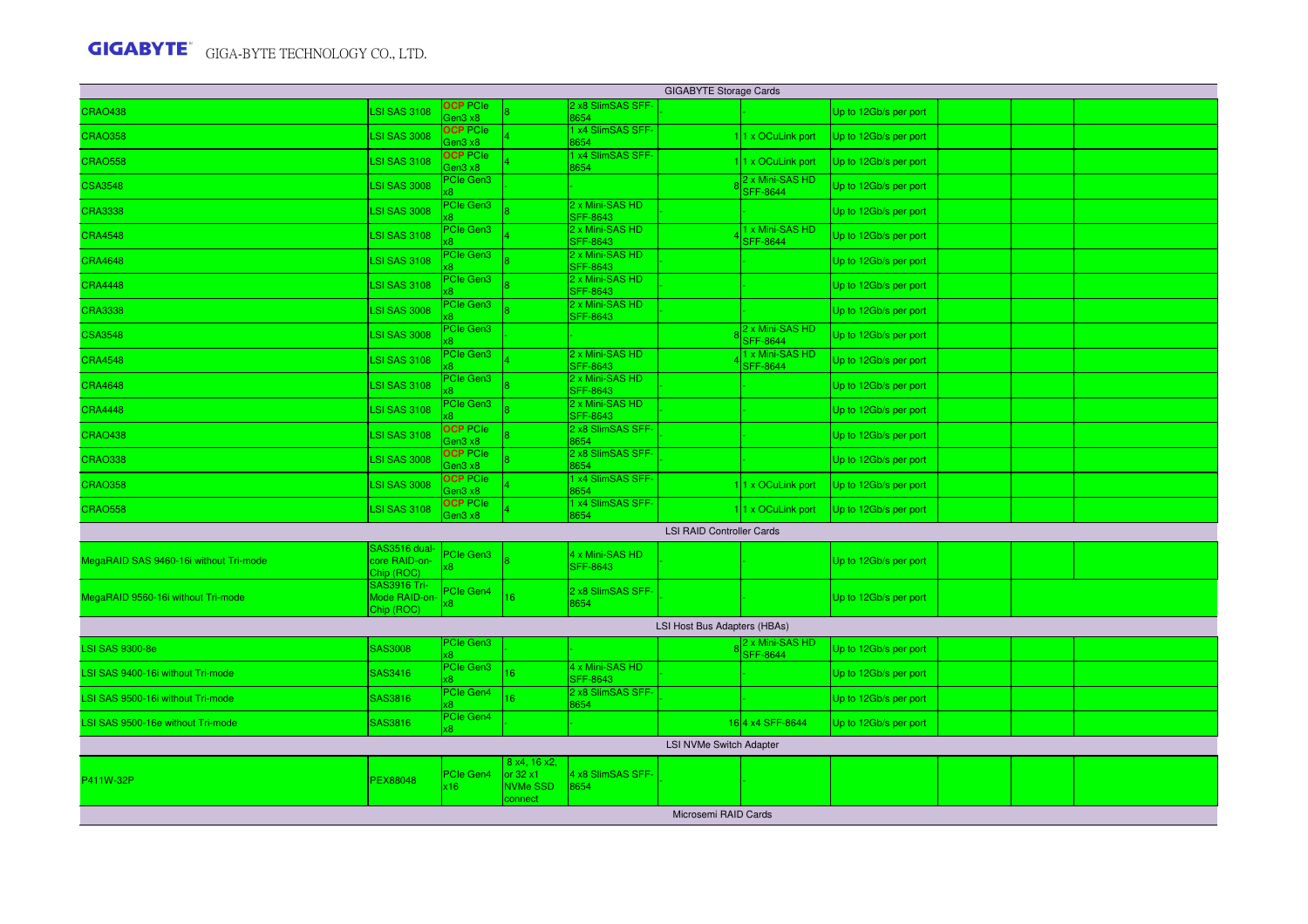| <b>GIGABYTE Storage Cards</b>          |                                                   |                                                    |                                                                |                                    |                                  |                                    |                       |  |  |  |  |  |
|----------------------------------------|---------------------------------------------------|----------------------------------------------------|----------------------------------------------------------------|------------------------------------|----------------------------------|------------------------------------|-----------------------|--|--|--|--|--|
| <b>CRAO438</b>                         | <b>LSI SAS 3108</b>                               | <b>OCP</b> PCIe<br>3e <sub>0</sub> 3x <sub>8</sub> |                                                                | 2 x8 SlimSAS SFF-<br>8654          |                                  |                                    | Up to 12Gb/s per port |  |  |  |  |  |
| <b>CRAO358</b>                         | <b>LSI SAS 3008</b>                               | <b>OCP PCIe</b><br>Gen3 x8                         |                                                                | x4 SlimSAS SFF-<br>8654            |                                  | 11 x OCuLink port                  | Up to 12Gb/s per port |  |  |  |  |  |
| <b>CRAO558</b>                         | <b>LSI SAS 3108</b>                               | <b>OCP</b> PCIe<br>Gen3 x8                         |                                                                | x4 SlimSAS SFF-<br>8654            |                                  | 11 x OCuLink port                  | Up to 12Gb/s per port |  |  |  |  |  |
| <b>CSA3548</b>                         | <b>LSI SAS 3008</b>                               | PCIe Gen3<br>œ.                                    |                                                                |                                    |                                  | 2 x Mini-SAS HD<br><b>SFF-8644</b> | Up to 12Gb/s per port |  |  |  |  |  |
| <b>CRA3338</b>                         | <b>LSI SAS 3008</b>                               | PCIe Gen3                                          |                                                                | 2 x Mini-SAS HD<br><b>SFF-8643</b> |                                  |                                    | Up to 12Gb/s per port |  |  |  |  |  |
| <b>CRA4548</b>                         | <b>LSI SAS 3108</b>                               | PCIe Gen3                                          |                                                                | 2 x Mini-SAS HD<br><b>SFF-8643</b> |                                  | 1 x Mini-SAS HD<br><b>SFF-8644</b> | Up to 12Gb/s per port |  |  |  |  |  |
| <b>CRA4648</b>                         | <b>LSI SAS 3108</b>                               | PCIe Gen3                                          |                                                                | 2 x Mini-SAS HD<br><b>SFF-8643</b> |                                  |                                    | Up to 12Gb/s per port |  |  |  |  |  |
| <b>CRA4448</b>                         | <b>LSI SAS 3108</b>                               | PCIe Gen3                                          |                                                                | 2 x Mini-SAS HD<br><b>SFF-8643</b> |                                  |                                    | Up to 12Gb/s per port |  |  |  |  |  |
| <b>CRA3338</b>                         | <b>LSI SAS 3008</b>                               | PCIe Gen3                                          |                                                                | 2 x Mini-SAS HD<br><b>SFF-8643</b> |                                  |                                    | Up to 12Gb/s per port |  |  |  |  |  |
| <b>CSA3548</b>                         | <b>LSI SAS 3008</b>                               | PCIe Gen3                                          |                                                                |                                    |                                  | 2 x Mini-SAS HD<br><b>SFF-8644</b> | Up to 12Gb/s per port |  |  |  |  |  |
| <b>CRA4548</b>                         | <b>LSI SAS 3108</b>                               | PCIe Gen3                                          |                                                                | 2 x Mini-SAS HD<br><b>SFF-8643</b> |                                  | 1 x Mini-SAS HD<br><b>SFF-8644</b> | Up to 12Gb/s per port |  |  |  |  |  |
| <b>CRA4648</b>                         | <b>LSI SAS 3108</b>                               | PCIe Gen3                                          |                                                                | 2 x Mini-SAS HD<br><b>SFF-8643</b> |                                  |                                    | Up to 12Gb/s per port |  |  |  |  |  |
| <b>CRA4448</b>                         | <b>LSI SAS 3108</b>                               | PCIe Gen3                                          |                                                                | 2 x Mini-SAS HD<br><b>SFF-8643</b> |                                  |                                    | Up to 12Gb/s per port |  |  |  |  |  |
| <b>CRAO438</b>                         | <b>LSI SAS 3108</b>                               | <b>OCP PCIe</b><br>Gen3 x8                         |                                                                | 2 x8 SlimSAS SFF-<br>8654          |                                  |                                    | Up to 12Gb/s per port |  |  |  |  |  |
| <b>CRAO338</b>                         | <b>LSI SAS 3008</b>                               | <b>OCP PCIe</b><br>Gen3 x8                         |                                                                | 2 x8 SlimSAS SFF-<br>8654          |                                  |                                    | Up to 12Gb/s per port |  |  |  |  |  |
| <b>CRAO358</b>                         | <b>LSI SAS 3008</b>                               | <b>OCP PCIe</b><br>Gen3 x8                         |                                                                | x4 SlimSAS SFF-<br>8654            |                                  | 11 x OCuLink port                  | Up to 12Gb/s per port |  |  |  |  |  |
| <b>CRAO558</b>                         | <b>LSI SAS 3108</b>                               | <b>OCP PCIe</b><br>Gen3 x8                         |                                                                | x4 SlimSAS SFF-<br>3654            |                                  | 11 x OCuLink port                  | Up to 12Gb/s per port |  |  |  |  |  |
|                                        |                                                   |                                                    |                                                                |                                    | <b>LSI RAID Controller Cards</b> |                                    |                       |  |  |  |  |  |
| MegaRAID SAS 9460-16i without Tri-mode | SAS3516 dual-<br>core RAID-on-<br>Chip (ROC)      | <sup>P</sup> Cle Gen3                              |                                                                | 4 x Mini-SAS HD<br><b>SFF-8643</b> |                                  |                                    | Up to 12Gb/s per port |  |  |  |  |  |
| MegaRAID 9560-16i without Tri-mode     | <b>SAS3916 Tri-</b><br>Mode RAID-on<br>Chip (ROC) | PCIe Gen4                                          | 16                                                             | 2 x8 SlimSAS SFF-<br>8654          |                                  |                                    | Up to 12Gb/s per port |  |  |  |  |  |
|                                        |                                                   |                                                    |                                                                |                                    | LSI Host Bus Adapters (HBAs)     |                                    |                       |  |  |  |  |  |
| <b>LSI SAS 9300-8e</b>                 | <b>SAS3008</b>                                    | PCIe Gen3<br>x8.                                   |                                                                |                                    |                                  | 2 x Mini-SAS HD<br><b>SFF-8644</b> | Up to 12Gb/s per port |  |  |  |  |  |
| LSI SAS 9400-16i without Tri-mode      | SAS3416                                           | PCIe Gen3                                          | 16                                                             | 4 x Mini-SAS HD<br><b>SFF-8643</b> |                                  |                                    | Up to 12Gb/s per port |  |  |  |  |  |
| LSI SAS 9500-16i without Tri-mode      | SAS3816                                           | PCIe Gen4<br>vЯ.                                   | 16                                                             | 2 x8 SlimSAS SFF-<br>8654          |                                  |                                    | Up to 12Gb/s per port |  |  |  |  |  |
| LSI SAS 9500-16e without Tri-mode      | SAS3816                                           | PCIe Gen4<br>x8                                    |                                                                |                                    |                                  | 164 x4 SFF-8644                    | Up to 12Gb/s per port |  |  |  |  |  |
|                                        |                                                   |                                                    |                                                                |                                    | <b>LSI NVMe Switch Adapter</b>   |                                    |                       |  |  |  |  |  |
| P411W-32P                              | PEX88048                                          | PCIe Gen4<br>x16                                   | 8 x4, 16 x2,<br>or $32 \times 1$<br><b>NVMe SSD</b><br>connect | 4 x8 SlimSAS SFF-<br>8654          |                                  |                                    |                       |  |  |  |  |  |
|                                        |                                                   |                                                    |                                                                |                                    | Microsemi RAID Cards             |                                    |                       |  |  |  |  |  |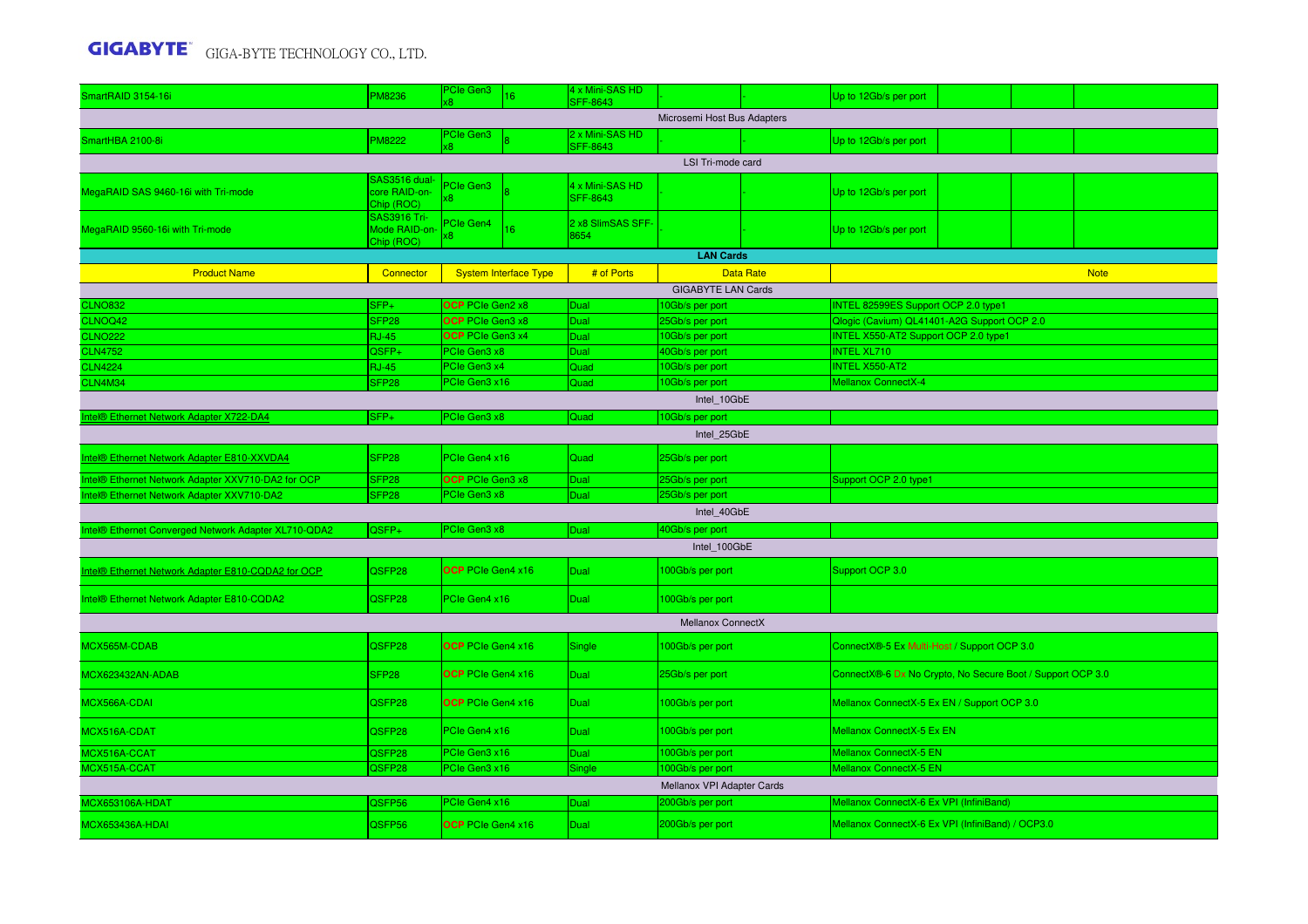| SmartRAID 3154-16i                                   | <b>PM8236</b>                                      | PCIe Gen3                                   | 16                           | 4 x Mini-SAS HD<br><b>SFF-8643</b> |                                    |                  | Up to 12Gb/s per port                                                              |  |  |  |  |  |
|------------------------------------------------------|----------------------------------------------------|---------------------------------------------|------------------------------|------------------------------------|------------------------------------|------------------|------------------------------------------------------------------------------------|--|--|--|--|--|
|                                                      |                                                    |                                             |                              |                                    | Microsemi Host Bus Adapters        |                  |                                                                                    |  |  |  |  |  |
| SmartHBA 2100-8i                                     | PM8222                                             | PCIe Gen3                                   |                              | 2 x Mini-SAS HD<br><b>SFF-8643</b> |                                    |                  | Up to 12Gb/s per port                                                              |  |  |  |  |  |
|                                                      |                                                    |                                             |                              |                                    | LSI Tri-mode card                  |                  |                                                                                    |  |  |  |  |  |
| MegaRAID SAS 9460-16i with Tri-mode                  | SAS3516 dual<br>core RAID-on-<br>Chip (ROC)        | Cle Gen3<br>$\overline{8}$                  |                              | 4 x Mini-SAS HD<br><b>SFF-8643</b> |                                    |                  | Up to 12Gb/s per port                                                              |  |  |  |  |  |
| MegaRAID 9560-16i with Tri-mode                      | <b>SAS3916 Tri-</b><br>Mode RAID-on-<br>Chip (ROC) | <sup>2</sup> Cle Gen4<br>8                  | 16                           | 2 x8 SlimSAS SFF-<br>3654          |                                    |                  | Up to 12Gb/s per port                                                              |  |  |  |  |  |
|                                                      |                                                    |                                             |                              |                                    | <b>LAN Cards</b>                   |                  |                                                                                    |  |  |  |  |  |
| <b>Product Name</b>                                  | Connector                                          |                                             | <b>System Interface Type</b> | # of Ports                         |                                    | <b>Data Rate</b> | <b>Note</b>                                                                        |  |  |  |  |  |
|                                                      |                                                    |                                             |                              |                                    | <b>GIGABYTE LAN Cards</b>          |                  |                                                                                    |  |  |  |  |  |
| <b>CLNO832</b>                                       | SFP+                                               | <b>OCP</b> PCIe Gen2 x8<br>OCP PCIe Gen3 x8 |                              | Dual<br>Dual                       | 10Gb/s per port                    |                  | INTEL 82599ES Support OCP 2.0 type1<br>Qlogic (Cavium) QL41401-A2G Support OCP 2.0 |  |  |  |  |  |
| CLNOQ42<br><b>CLNO222</b>                            | SFP <sub>28</sub><br><b>RJ-45</b>                  | OCP PCIe Gen3 x4                            |                              | Dual                               | 25Gb/s per port<br>10Gb/s per port |                  | INTEL X550-AT2 Support OCP 2.0 type1                                               |  |  |  |  |  |
| <b>CLN4752</b>                                       | QSFP+                                              | PCIe Gen3 x8                                |                              | Dual                               | 40Gb/s per port                    |                  | <b>INTEL XL710</b>                                                                 |  |  |  |  |  |
| <b>CLN4224</b>                                       | <b>RJ-45</b>                                       | PCIe Gen3 x4                                |                              | Quad                               | 10Gb/s per port                    |                  | INTEL X550-AT2                                                                     |  |  |  |  |  |
| <b>CLN4M34</b>                                       | SFP <sub>28</sub>                                  | PCIe Gen3 x16                               |                              | Quad                               | 10Gb/s per port                    |                  | <b>Mellanox ConnectX-4</b>                                                         |  |  |  |  |  |
| Intel 10GbE                                          |                                                    |                                             |                              |                                    |                                    |                  |                                                                                    |  |  |  |  |  |
| ntel® Ethernet Network Adapter X722-DA4              | SFP+                                               | PCIe Gen3 x8                                |                              | Quad                               | 10Gb/s per port                    |                  |                                                                                    |  |  |  |  |  |
| Intel 25GbE                                          |                                                    |                                             |                              |                                    |                                    |                  |                                                                                    |  |  |  |  |  |
| Intel® Ethernet Network Adapter E810-XXVDA4          | SFP <sub>28</sub>                                  | PCIe Gen4 x16                               |                              | Quad                               | 25Gb/s per port                    |                  |                                                                                    |  |  |  |  |  |
| Intel® Ethernet Network Adapter XXV710-DA2 for OCP   | SFP <sub>28</sub>                                  | OCP PCIe Gen3 x8                            |                              | Dual                               | 25Gb/s per port                    |                  | Support OCP 2.0 type1                                                              |  |  |  |  |  |
| Intel® Ethernet Network Adapter XXV710-DA2           | SFP <sub>28</sub>                                  | PCIe Gen3 x8                                |                              | Dual                               | 25Gb/s per port                    |                  |                                                                                    |  |  |  |  |  |
|                                                      |                                                    |                                             |                              |                                    | Intel 40GbE                        |                  |                                                                                    |  |  |  |  |  |
| Intel® Ethernet Converged Network Adapter XL710-QDA2 | QSFP+                                              | PCIe Gen3 x8                                |                              | <b>Dual</b>                        | 40Gb/s per port                    |                  |                                                                                    |  |  |  |  |  |
|                                                      |                                                    |                                             |                              |                                    | Intel 100GbE                       |                  |                                                                                    |  |  |  |  |  |
| Intel® Ethernet Network Adapter E810-CQDA2 for OCP   | QSFP28                                             | OCP PCIe Gen4 x16                           |                              | <b>Dual</b>                        | 100Gb/s per port                   |                  | Support OCP 3.0                                                                    |  |  |  |  |  |
| Intel® Ethernet Network Adapter E810-CQDA2           | QSFP28                                             | PCIe Gen4 x16                               |                              | Dual                               | 100Gb/s per port                   |                  |                                                                                    |  |  |  |  |  |
|                                                      |                                                    |                                             |                              |                                    | Mellanox ConnectX                  |                  |                                                                                    |  |  |  |  |  |
| MCX565M-CDAB                                         | QSFP28                                             | OCP PCIe Gen4 x16                           |                              | Single                             | 100Gb/s per port                   |                  | ConnectX®-5 Ex Multi-Host / Support OCP 3.0                                        |  |  |  |  |  |
| MCX623432AN-ADAB                                     | SFP28                                              | OCP PCIe Gen4 x16                           |                              | Dual                               | 25Gb/s per port                    |                  | ConnectX®-6 Dx No Crypto, No Secure Boot / Support OCP 3.0                         |  |  |  |  |  |
| MCX566A-CDAI                                         | QSFP28                                             | OCP PCIe Gen4 x16                           |                              | Dual                               | 100Gb/s per port                   |                  | Mellanox ConnectX-5 Ex EN / Support OCP 3.0                                        |  |  |  |  |  |
| MCX516A-CDAT                                         | QSFP28                                             | PCIe Gen4 x16                               |                              | Dual                               | 100Gb/s per port                   |                  | Mellanox ConnectX-5 Ex EN                                                          |  |  |  |  |  |
| MCX516A-CCAT                                         | QSFP28                                             | PCIe Gen3 x16                               |                              | Dual                               | 100Gb/s per port                   |                  | Mellanox ConnectX-5 EN                                                             |  |  |  |  |  |
| MCX515A-CCAT                                         | QSFP28                                             | <b>PCIe Gen3 x16</b>                        |                              | Single                             | 100Gb/s per port                   |                  | Mellanox ConnectX-5 EN                                                             |  |  |  |  |  |
|                                                      |                                                    |                                             |                              |                                    | Mellanox VPI Adapter Cards         |                  |                                                                                    |  |  |  |  |  |
| <b>MCX653106A-HDAT</b>                               | QSFP56                                             | PCIe Gen4 x16                               |                              | Dual                               | 200Gb/s per port                   |                  | Mellanox ConnectX-6 Ex VPI (InfiniBand)                                            |  |  |  |  |  |
| MCX653436A-HDAI                                      | QSFP56                                             | <b>OCP</b> PCIe Gen4 x16                    |                              | Dual                               | 200Gb/s per port                   |                  | Mellanox ConnectX-6 Ex VPI (InfiniBand) / OCP3.0                                   |  |  |  |  |  |